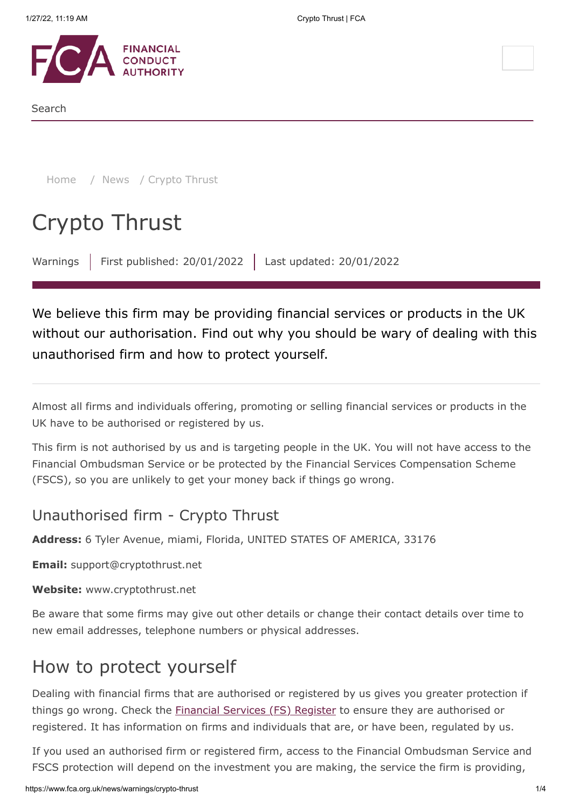

Search

[Home](https://www.fca.org.uk/) / [News](https://www.fca.org.uk/news) / Crypto Thrust

# Crypto Thrust

Warnings | First published: 20/01/2022 | Last updated: 20/01/2022

We believe this firm may be providing financial services or products in the UK without our authorisation. Find out why you should be wary of dealing with this unauthorised firm and how to protect yourself.

Almost all firms and individuals offering, promoting or selling financial services or products in the UK have to be authorised or registered by us.

This firm is not authorised by us and is targeting people in the UK. You will not have access to the Financial Ombudsman Service or be protected by the Financial Services Compensation Scheme (FSCS), so you are unlikely to get your money back if things go wrong.

### Unauthorised firm - Crypto Thrust

**Address:** 6 Tyler Avenue, miami, Florida, UNITED STATES OF AMERICA, 33176

**Email:** support@cryptothrust.net

**Website:** www.cryptothrust.net

Be aware that some firms may give out other details or change their contact details over time to new email addresses, telephone numbers or physical addresses.

# How to protect yourself

Dealing with financial firms that are authorised or registered by us gives you greater protection if things go wrong. Check the **[Financial Services \(FS\) Register](https://register.fca.org.uk/)** to ensure they are authorised or registered. It has information on firms and individuals that are, or have been, regulated by us.

If you used an authorised firm or registered firm, access to the Financial Ombudsman Service and FSCS protection will depend on the investment you are making, the service the firm is providing,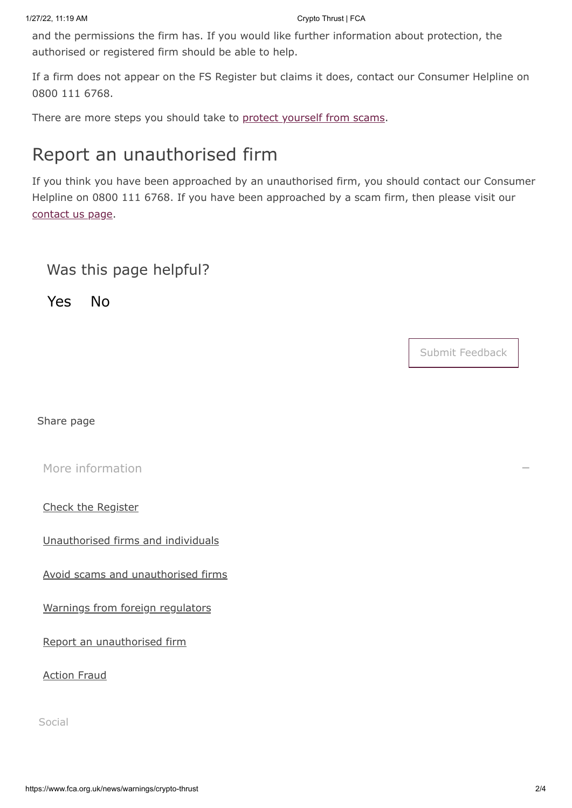and the permissions the firm has. If you would like further information about protection, the authorised or registered firm should be able to help.

If a firm does not appear on the FS Register but claims it does, contact our Consumer Helpline on 0800 111 6768.

There are more steps you should take to [protect yourself from scams](https://www.fca.org.uk/consumers/avoid-scams-unauthorised-firms).

# Report an unauthorised firm

If you think you have been approached by an unauthorised firm, you should contact our Consumer Helpline on 0800 111 6768. If you have been approached by a scam firm, then please visit our [contact us page.](https://www.fca.org.uk/contact)

### Was this page helpful?

Yes No

Submit Feedback

Share page

[More information](#page-1-0)

<span id="page-1-0"></span>[Check the Register](https://register.fca.org.uk/)

[Unauthorised firms and individuals](https://www.fca.org.uk/consumers/unauthorised-firms-individuals)

[Avoid scams and unauthorised firms](https://www.fca.org.uk/consumers/avoid-scams-unauthorised-firms)

[Warnings from foreign regulators](https://www.iosco.org/investor_protection/?subsection=investor_alerts_portal)

[Report an unauthorised firm](https://www.fca.org.uk/consumers/report-scam-unauthorised-firm)

[Action Fraud](https://www.fca.org.uk/consumers/report-scam-unauthorised-firm)

Social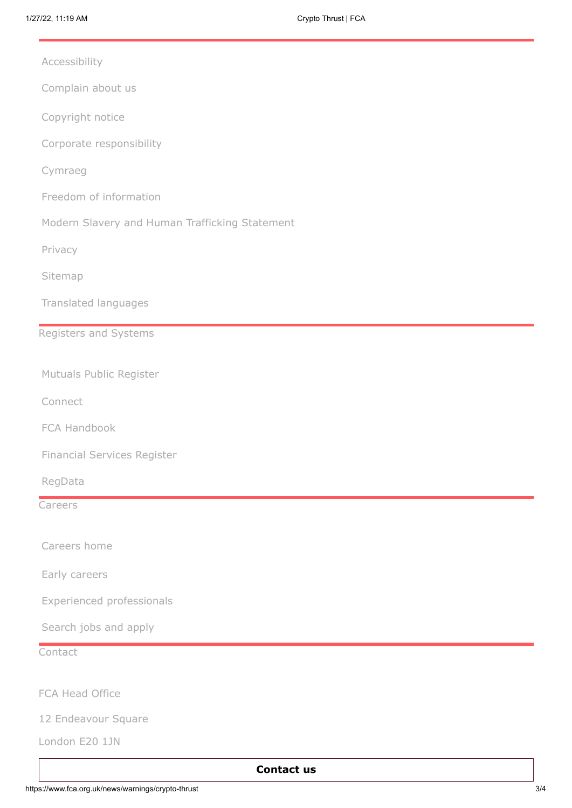[Accessibility](https://www.fca.org.uk/accessibility)

[Complain about us](https://www.fca.org.uk/about/complain-about-regulators)

[Copyright notice](https://www.fca.org.uk/legal)

[Corporate responsibility](https://www.fca.org.uk/about/corporate-responsibility)

[Cymraeg](https://www.fca.org.uk/about/cymraeg)

- [Freedom of information](https://www.fca.org.uk/freedom-information)
- [Modern Slavery and Human Trafficking Statement](https://www.fca.org.uk/about/corporate-responsibility#modern_slavery)

[Privacy](https://www.fca.org.uk/privacy)

[Sitemap](https://www.fca.org.uk/sitemap)

[Translated languages](https://www.fca.org.uk/translated-pages)

#### Registers and Systems

[Mutuals Public Register](https://www.fca.org.uk/firms/mutuals-public-register)

[Connect](https://www.fca.org.uk/firms/connect)

[FCA Handbook](https://www.fca.org.uk/about/handbook)

[Financial Services Register](https://www.fca.org.uk/firms/financial-services-register)

[RegData](https://www.fca.org.uk/firms/regdata)

Careers

[Careers home](https://www.fca.org.uk/careers)

[Early careers](https://www.fca.org.uk/careers/early-careers)

[Experienced professionals](https://www.fca.org.uk/careers/experienced-professionals)

[Search jobs and apply](https://www.fca.org.uk/careers/search-jobs-apply)

**Contact** 

FCA Head Office

12 Endeavour Square

London E20 1JN

#### **[Contact us](https://www.fca.org.uk/contact)**